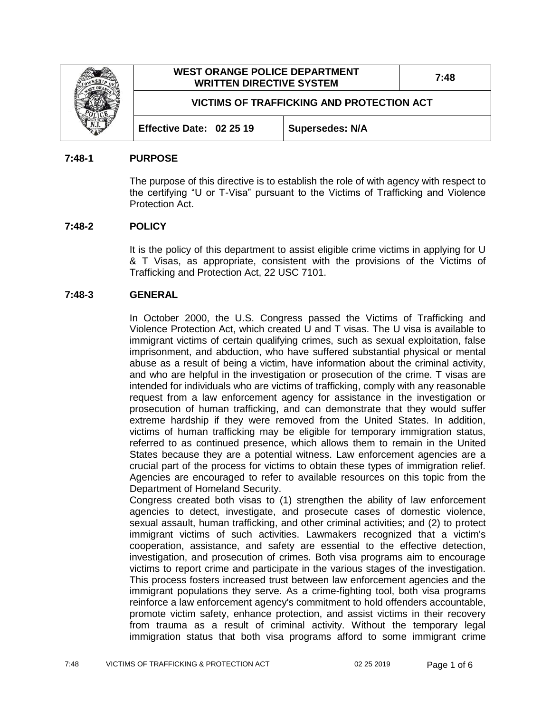|  | <b>WEST ORANGE POLICE DEPARTMENT</b><br><b>WRITTEN DIRECTIVE SYSTEM</b> |                        | 7:48 |
|--|-------------------------------------------------------------------------|------------------------|------|
|  | VICTIMS OF TRAFFICKING AND PROTECTION ACT                               |                        |      |
|  | Effective Date: 02 25 19                                                | <b>Supersedes: N/A</b> |      |

#### **7:48-1 PURPOSE**

The purpose of this directive is to establish the role of with agency with respect to the certifying "U or T-Visa" pursuant to the Victims of Trafficking and Violence Protection Act.

#### **7:48-2 POLICY**

It is the policy of this department to assist eligible crime victims in applying for U & T Visas, as appropriate, consistent with the provisions of the Victims of Trafficking and Protection Act, 22 USC 7101.

#### **7:48-3 GENERAL**

In October 2000, the U.S. Congress passed the Victims of Trafficking and Violence Protection Act, which created U and T visas. The U visa is available to immigrant victims of certain qualifying crimes, such as sexual exploitation, false imprisonment, and abduction, who have suffered substantial physical or mental abuse as a result of being a victim, have information about the criminal activity, and who are helpful in the investigation or prosecution of the crime. T visas are intended for individuals who are victims of trafficking, comply with any reasonable request from a law enforcement agency for assistance in the investigation or prosecution of human trafficking, and can demonstrate that they would suffer extreme hardship if they were removed from the United States. In addition, victims of human trafficking may be eligible for temporary immigration status, referred to as continued presence, which allows them to remain in the United States because they are a potential witness. Law enforcement agencies are a crucial part of the process for victims to obtain these types of immigration relief. Agencies are encouraged to refer to available resources on this topic from the Department of Homeland Security.

Congress created both visas to (1) strengthen the ability of law enforcement agencies to detect, investigate, and prosecute cases of domestic violence, sexual assault, human trafficking, and other criminal activities; and (2) to protect immigrant victims of such activities. Lawmakers recognized that a victim's cooperation, assistance, and safety are essential to the effective detection, investigation, and prosecution of crimes. Both visa programs aim to encourage victims to report crime and participate in the various stages of the investigation. This process fosters increased trust between law enforcement agencies and the immigrant populations they serve. As a crime-fighting tool, both visa programs reinforce a law enforcement agency's commitment to hold offenders accountable, promote victim safety, enhance protection, and assist victims in their recovery from trauma as a result of criminal activity. Without the temporary legal immigration status that both visa programs afford to some immigrant crime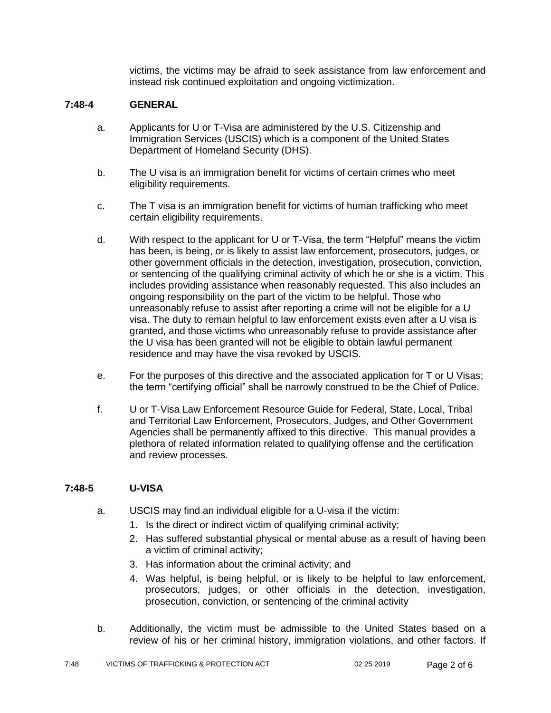victims, the victims may be afraid to seek assistance from law enforcement and instead risk continued exploitation and ongoing victimization.

## **7:48-4 GENERAL**

- a. Applicants for U or T-Visa are administered by the U.S. Citizenship and Immigration Services (USCIS) which is a component of the United States Department of Homeland Security (DHS).
- b. The U visa is an immigration benefit for victims of certain crimes who meet eligibility requirements.
- c. The T visa is an immigration benefit for victims of human trafficking who meet certain eligibility requirements.
- d. With respect to the applicant for U or T-Visa, the term "Helpful" means the victim has been, is being, or is likely to assist law enforcement, prosecutors, judges, or other government officials in the detection, investigation, prosecution, conviction, or sentencing of the qualifying criminal activity of which he or she is a victim. This includes providing assistance when reasonably requested. This also includes an ongoing responsibility on the part of the victim to be helpful. Those who unreasonably refuse to assist after reporting a crime will not be eligible for a U visa. The duty to remain helpful to law enforcement exists even after a U visa is granted, and those victims who unreasonably refuse to provide assistance after the U visa has been granted will not be eligible to obtain lawful permanent residence and may have the visa revoked by USCIS.
- e. For the purposes of this directive and the associated application for T or U Visas; the term "certifying official" shall be narrowly construed to be the Chief of Police.
- f. U or T-Visa Law Enforcement Resource Guide for Federal, State, Local, Tribal and Territorial Law Enforcement, Prosecutors, Judges, and Other Government Agencies shall be permanently affixed to this directive. This manual provides a plethora of related information related to qualifying offense and the certification and review processes.

### **7:48-5 U-VISA**

- a. USCIS may find an individual eligible for a U-visa if the victim:
	- 1. Is the direct or indirect victim of qualifying criminal activity;
	- 2. Has suffered substantial physical or mental abuse as a result of having been a victim of criminal activity;
	- 3. Has information about the criminal activity; and
	- 4. Was helpful, is being helpful, or is likely to be helpful to law enforcement, prosecutors, judges, or other officials in the detection, investigation, prosecution, conviction, or sentencing of the criminal activity
- b. Additionally, the victim must be admissible to the United States based on a review of his or her criminal history, immigration violations, and other factors. If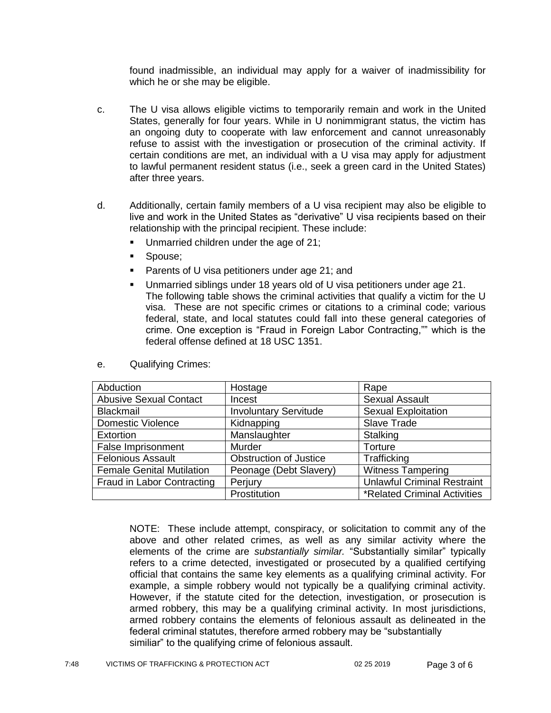found inadmissible, an individual may apply for a waiver of inadmissibility for which he or she may be eligible.

- c. The U visa allows eligible victims to temporarily remain and work in the United States, generally for four years. While in U nonimmigrant status, the victim has an ongoing duty to cooperate with law enforcement and cannot unreasonably refuse to assist with the investigation or prosecution of the criminal activity. If certain conditions are met, an individual with a U visa may apply for adjustment to lawful permanent resident status (i.e., seek a green card in the United States) after three years.
- d. Additionally, certain family members of a U visa recipient may also be eligible to live and work in the United States as "derivative" U visa recipients based on their relationship with the principal recipient. These include:
	- Unmarried children under the age of 21;
	- **Spouse**;
	- **Parents of U visa petitioners under age 21; and**
	- Unmarried siblings under 18 years old of U visa petitioners under age 21. The following table shows the criminal activities that qualify a victim for the U visa. These are not specific crimes or citations to a criminal code; various federal, state, and local statutes could fall into these general categories of crime. One exception is "Fraud in Foreign Labor Contracting,"" which is the federal offense defined at 18 USC 1351.

| Abduction                        | Hostage                       | Rape                                |
|----------------------------------|-------------------------------|-------------------------------------|
| <b>Abusive Sexual Contact</b>    | Incest                        | <b>Sexual Assault</b>               |
| <b>Blackmail</b>                 | <b>Involuntary Servitude</b>  | <b>Sexual Exploitation</b>          |
| <b>Domestic Violence</b>         | Kidnapping                    | Slave Trade                         |
| Extortion                        | Manslaughter                  | Stalking                            |
| <b>False Imprisonment</b>        | <b>Murder</b>                 | Torture                             |
| <b>Felonious Assault</b>         | <b>Obstruction of Justice</b> | Trafficking                         |
| <b>Female Genital Mutilation</b> | Peonage (Debt Slavery)        | <b>Witness Tampering</b>            |
| Fraud in Labor Contracting       | Perjury                       | <b>Unlawful Criminal Restraint</b>  |
|                                  | Prostitution                  | <b>*Related Criminal Activities</b> |

e. Qualifying Crimes:

NOTE: These include attempt, conspiracy, or solicitation to commit any of the above and other related crimes, as well as any similar activity where the elements of the crime are *substantially similar.* "Substantially similar" typically refers to a crime detected, investigated or prosecuted by a qualified certifying official that contains the same key elements as a qualifying criminal activity. For example, a simple robbery would not typically be a qualifying criminal activity. However, if the statute cited for the detection, investigation, or prosecution is armed robbery, this may be a qualifying criminal activity. In most jurisdictions, armed robbery contains the elements of felonious assault as delineated in the federal criminal statutes, therefore armed robbery may be "substantially similiar" to the qualifying crime of felonious assault.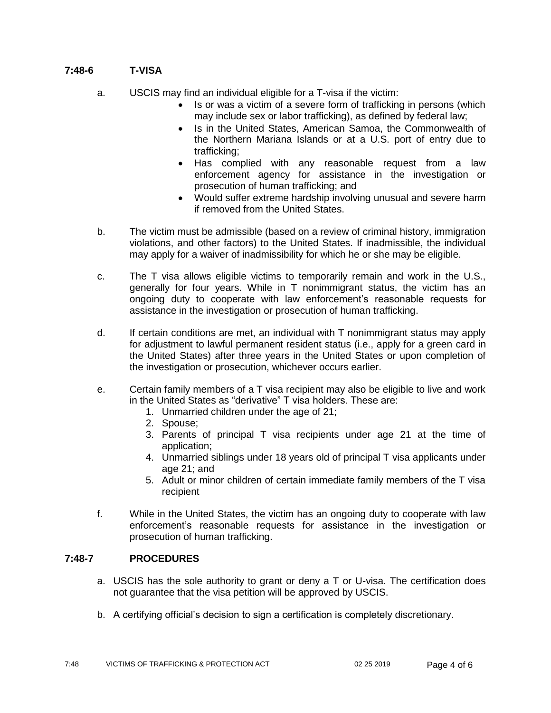# **7:48-6 T-VISA**

- a. USCIS may find an individual eligible for a T-visa if the victim:
	- Is or was a victim of a severe form of trafficking in persons (which may include sex or labor trafficking), as defined by federal law;
	- Is in the United States, American Samoa, the Commonwealth of the Northern Mariana Islands or at a U.S. port of entry due to trafficking;
	- Has complied with any reasonable request from a law enforcement agency for assistance in the investigation or prosecution of human trafficking; and
	- Would suffer extreme hardship involving unusual and severe harm if removed from the United States.
- b. The victim must be admissible (based on a review of criminal history, immigration violations, and other factors) to the United States. If inadmissible, the individual may apply for a waiver of inadmissibility for which he or she may be eligible.
- c. The T visa allows eligible victims to temporarily remain and work in the U.S., generally for four years. While in T nonimmigrant status, the victim has an ongoing duty to cooperate with law enforcement's reasonable requests for assistance in the investigation or prosecution of human trafficking.
- d. If certain conditions are met, an individual with T nonimmigrant status may apply for adjustment to lawful permanent resident status (i.e., apply for a green card in the United States) after three years in the United States or upon completion of the investigation or prosecution, whichever occurs earlier.
- e. Certain family members of a T visa recipient may also be eligible to live and work in the United States as "derivative" T visa holders. These are:
	- 1. Unmarried children under the age of 21;
	- 2. Spouse;
	- 3. Parents of principal T visa recipients under age 21 at the time of application;
	- 4. Unmarried siblings under 18 years old of principal T visa applicants under age 21; and
	- 5. Adult or minor children of certain immediate family members of the T visa recipient
- f. While in the United States, the victim has an ongoing duty to cooperate with law enforcement's reasonable requests for assistance in the investigation or prosecution of human trafficking.

### **7:48-7 PROCEDURES**

- a. USCIS has the sole authority to grant or deny a T or U-visa. The certification does not guarantee that the visa petition will be approved by USCIS.
- b. A certifying official's decision to sign a certification is completely discretionary.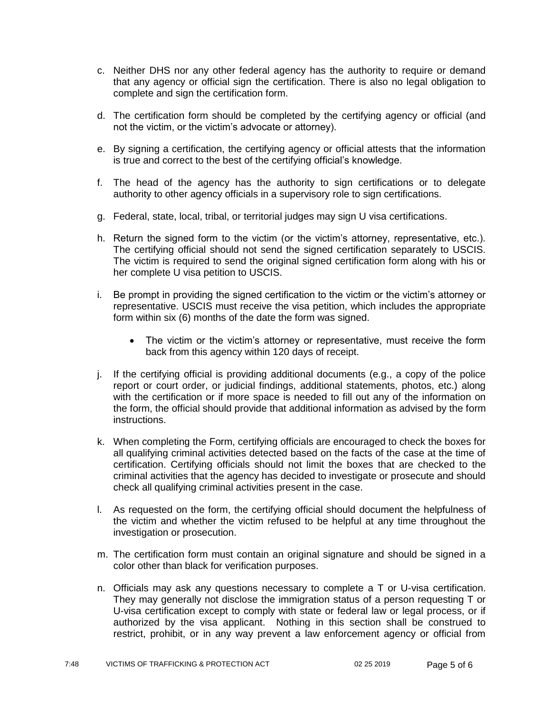- c. Neither DHS nor any other federal agency has the authority to require or demand that any agency or official sign the certification. There is also no legal obligation to complete and sign the certification form.
- d. The certification form should be completed by the certifying agency or official (and not the victim, or the victim's advocate or attorney).
- e. By signing a certification, the certifying agency or official attests that the information is true and correct to the best of the certifying official's knowledge.
- f. The head of the agency has the authority to sign certifications or to delegate authority to other agency officials in a supervisory role to sign certifications.
- g. Federal, state, local, tribal, or territorial judges may sign U visa certifications.
- h. Return the signed form to the victim (or the victim's attorney, representative, etc.). The certifying official should not send the signed certification separately to USCIS. The victim is required to send the original signed certification form along with his or her complete U visa petition to USCIS.
- i. Be prompt in providing the signed certification to the victim or the victim's attorney or representative. USCIS must receive the visa petition, which includes the appropriate form within six (6) months of the date the form was signed.
	- The victim or the victim's attorney or representative, must receive the form back from this agency within 120 days of receipt.
- j. If the certifying official is providing additional documents (e.g., a copy of the police report or court order, or judicial findings, additional statements, photos, etc.) along with the certification or if more space is needed to fill out any of the information on the form, the official should provide that additional information as advised by the form instructions.
- k. When completing the Form, certifying officials are encouraged to check the boxes for all qualifying criminal activities detected based on the facts of the case at the time of certification. Certifying officials should not limit the boxes that are checked to the criminal activities that the agency has decided to investigate or prosecute and should check all qualifying criminal activities present in the case.
- l. As requested on the form, the certifying official should document the helpfulness of the victim and whether the victim refused to be helpful at any time throughout the investigation or prosecution.
- m. The certification form must contain an original signature and should be signed in a color other than black for verification purposes.
- n. Officials may ask any questions necessary to complete a T or U-visa certification. They may generally not disclose the immigration status of a person requesting T or U-visa certification except to comply with state or federal law or legal process, or if authorized by the visa applicant. Nothing in this section shall be construed to restrict, prohibit, or in any way prevent a law enforcement agency or official from